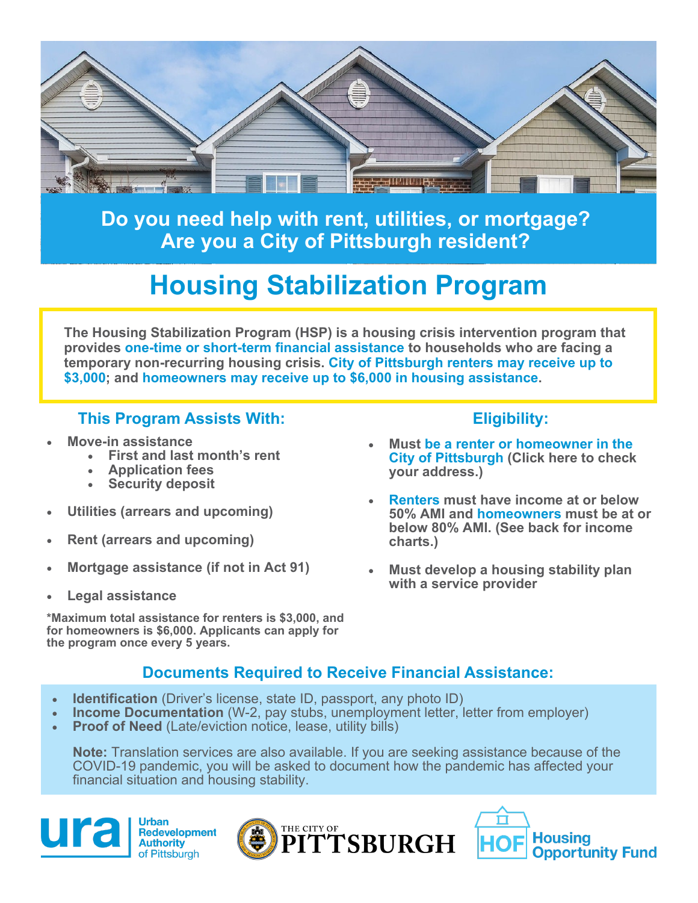

**Do you need help with rent, utilities, or mortgage? Are you a City of Pittsburgh resident?**

## **Housing Stabilization Program**

**The Housing Stabilization Program (HSP) is a housing crisis intervention program that provides one-time or short-term financial assistance to households who are facing a temporary non-recurring housing crisis. City of Pittsburgh renters may receive up to \$3,000; and homeowners may receive up to \$6,000 in housing assistance.** 

### **This Program Assists With: Eligibility:**

- **Move-in assistance**
	- **First and last month's rent**
	- **Application fees**
	- **Security deposit**
- **Utilities (arrears and upcoming)**
- **Rent (arrears and upcoming)**
- **Mortgage assistance (if not in Act 91)**
- **Legal assistance**

**\*Maximum total assistance for renters is \$3,000, and for homeowners is \$6,000. Applicants can apply for the program once every 5 years.** 

- **Must be a renter or homeowner in the City of Pittsburgh (Click here to check your address.)**
- **Renters must have income at or below 50% AMI and homeowners must be at or below 80% AMI. (See back for income charts.)**
- **Must develop a housing stability plan with a service provider**

## **Documents Required to Receive Financial Assistance:**

- **Identification** (Driver's license, state ID, passport, any photo ID)
- **Income Documentation** (W-2, pay stubs, unemployment letter, letter from employer)
- **Proof of Need** (Late/eviction notice, lease, utility bills)

**Note:** Translation services are also available. If you are seeking assistance because of the COVID-19 pandemic, you will be asked to document how the pandemic has affected your financial situation and housing stability.